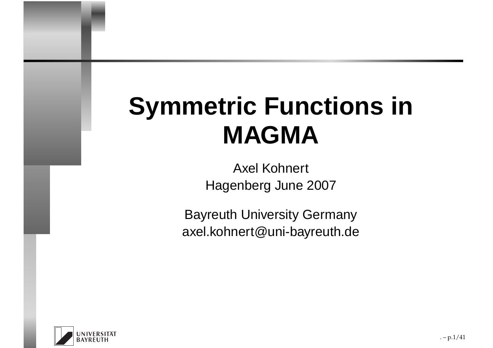# **Symmetric Functions inMAGMA**

 Axel Kohnert Hagenberg June 2007

Bayreuth University Germanyaxel.kohnert@uni-bayreuth.de

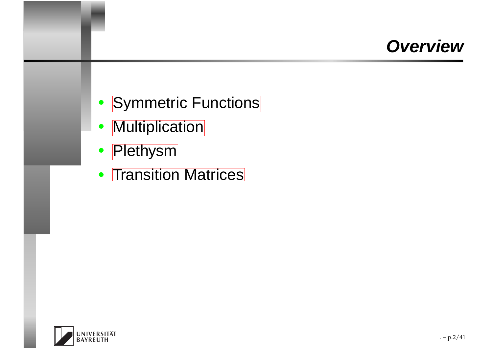### **Overview**

- [Symmetric](#page-2-0) Functions
- $\bullet$ [Multiplication](#page-12-0)
- [Plethysm](#page-25-0)
- [Transition](#page-36-0) Matrices

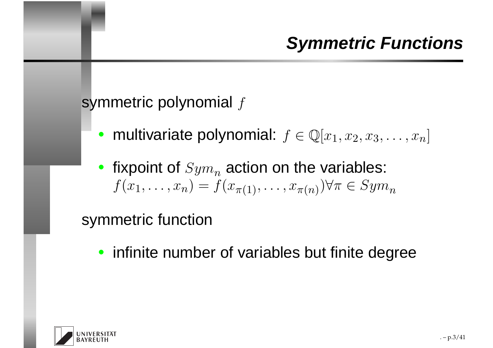#### symmetric polynomial  $f$

- multivariate polynomial:  $f \in \mathbb{Q}[x_1, x_2, x_3, \ldots, x_n]$
- fixpoint of  $Sym_n$  $\frac{n}{\epsilon}$  action on the variables:  $f(x_1, \ldots, x_n) = f(x_{\pi(1)}, \ldots, x_{\pi(n)}) \forall \pi \in Sym$  $\, n \,$

#### symmetric function

• infinite number of variables but finite degree

<span id="page-2-0"></span>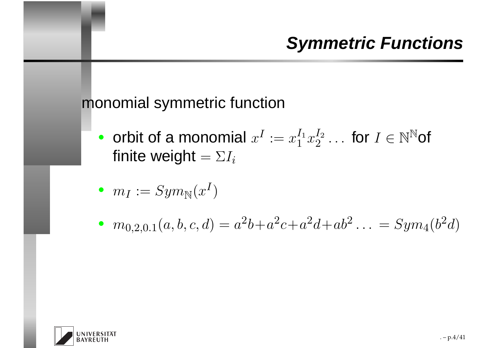#### monomial symmetric function

• orbit of a monomial  $x$ I $\dot{\hspace{0.1cm}}\hspace{0.1cm}\dot{\hspace{0.1cm}}\hspace{0.1cm}:=x$ I $\frac{1}{1}$  $\bar{1}^{\;\scriptscriptstyle 1} x$  $I_{2}%$  2 $\frac{I_2}{2} \ldots$  for  $I \in \mathbb{N}^{\mathbb{N}}$ of finite weight  $=\Sigma I_i$ 

• 
$$
m_I := Sym_N(x^I)
$$

 $\quad \bullet \ \ m_{0,2,0.1}(a,b,c,d) = a$ 2 $a^2b+a$ 2 $ac+a$ 2 $a^2d+ab^2$  $\cdot \cdot \cdot =$  $= Sym$  $_4(b^2$  $^{2}d)$ 

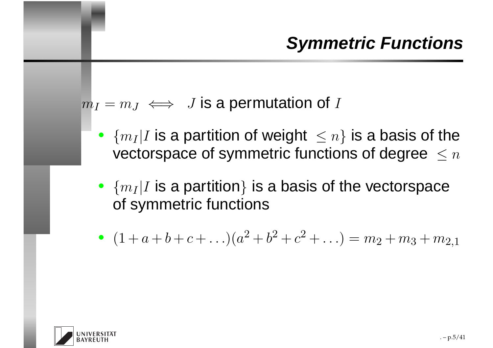$m_I=m_J\iff\ J$  is a permutation of  $I$ 

- $\{m_I|I\text{ is a partition of weight }\leq n\}$  is a basis of the vectorspace of symmetric functions of degree  $\,\leq n\,$
- $\{m_I|I$  is a partition} is a basis of the vectorspace of symmetric functions
- $(1 + a + b + c + ...)$ 2 $^2+b^2$  $\overline{\phantom{a}}^{\scriptscriptstyle\prime}+c$ 2 $h^2 + \ldots$ ) =  $m_2 + m_3 + m_{2,1}$

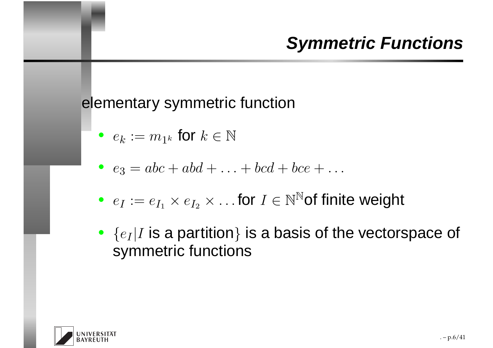#### elementary symmetric function

- $e_k := m_{1^k}$  $_k$  for  $k\in\mathbb{N}$
- $e_3=$  $= abc + abd +$ . . . .<br>.  $+ bcd + bce +$ . . .
- $\bullet \ \ e_I := e_{I_1} \times e_{I_2} \times \ldots$  for  $I \in \mathbb{N}^\mathbb{N}$ of finite weight
- $\bullet\ \{e_I|I\text{ is a partition}\}$  is a basis of the vectorspace of symmetric functions

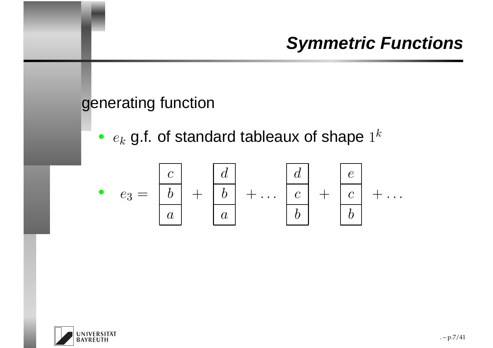#### generating function

 $\bullet$   $e_k$  $_k$  g.f. of standard tableaux of shape  $1^k$ 



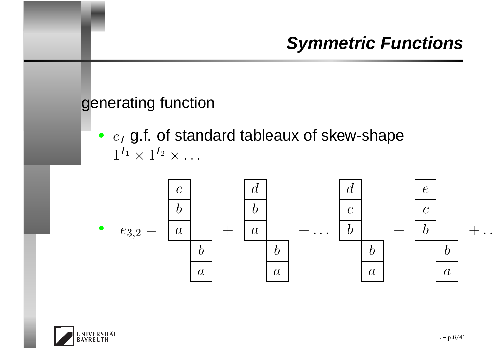#### generating function

 $\bullet$   $e_I$  $1^{I_1}\times1^{I_2}\times$  $_I$  g.f. of standard tableaux of skew-shape  $\cdots$ 



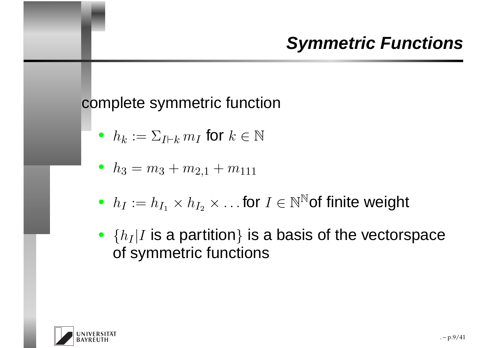#### complete symmetric function

 $\bullet~~h_k$  $_k:=\Sigma$ I⊢ $_k\,m_I$  $_I$  for  $k \in \mathbb{N}$ 

• 
$$
h_3 = m_3 + m_{2,1} + m_{111}
$$

- $h_I := h_{I_1} \times h_{I_2} \times \ldots$  for  $I \in \mathbb{N}^\mathbb{N}$ of finite weight
- $\{h_I|I$  is a partition} is a basis of the vectorspace of symmetric functions

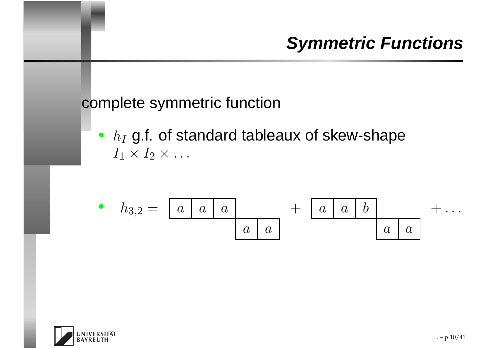#### complete symmetric function

 $\textcolor{red}{\bullet}~~h_I$  $I_1\times I_2\times$  $_I$  g.f. of standard tableaux of skew-shape  $\cdots$ 

$$
\bullet \quad h_{3,2} = \begin{array}{|c|c|c|c|c|c|} \hline a & a & a & a & a & b \\ \hline a & a & a & a & a & a \end{array}
$$

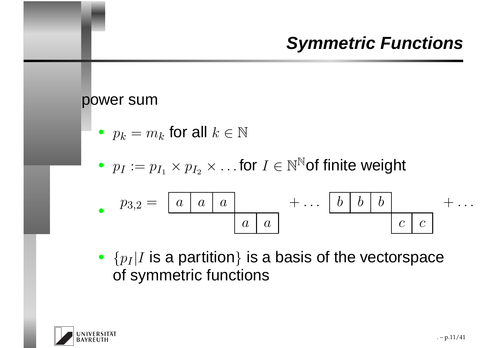#### power sum

• 
$$
p_k = m_k
$$
 for all  $k \in \mathbb{N}$ 

•  $p_I := p_{I_1} \times p_{I_2} \times \ldots$  for  $I \in \mathbb{N}^\mathbb{N}$ of finite weight

$$
p_{3,2} = \boxed{a \mid a \mid a}
$$
 + ... 
$$
\boxed{b \mid b \mid b}
$$
 + ... 
$$
\boxed{c \mid c}
$$

•  $\{p_I|I \text{ is a partition}\}$  is a basis of the vectorspace of symmetric functions

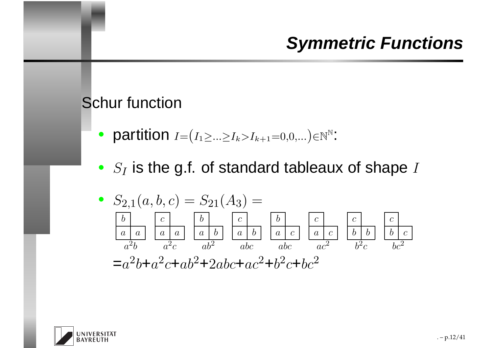#### Schur function

- partition  $I=$  $\left( I_{1} \!\!\geq\! \!... \!\!\geq\! I_{k} \!\!>\! I_{k+1} \!\!=\!\! 0,\!0,... \right) \!\!\in\!\! \mathbb{N}^{\mathbb{N}}$ in .<br>.
- $S_I$  is the g.f. of standard tableaux of shape I

•S2,1(a, b, <sup>c</sup>) <sup>=</sup>S21(A<sup>3</sup>) <sup>=</sup>bcbcbcccaaaaababacacbbbca<sup>2</sup><sup>b</sup> <sup>a</sup><sup>2</sup><sup>c</sup> ab2 abc abc ac2b<sup>2</sup><sup>c</sup> bc2=a2b+a2c+ab2+2abc+ac2+b2c+bc2

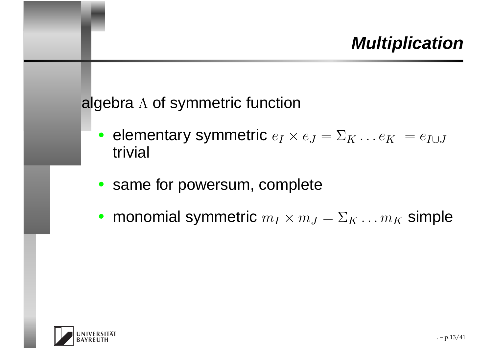algebra  $\Lambda$  of symmetric function

- elementary symmetric  $e_I \times e_J = \Sigma_K \dots e_K = e_{I \cup J}$ trivial
- same for powersum, complete
- monomial symmetric  $m_I \times m_J = \Sigma_K \dots m_K$  simple

<span id="page-12-0"></span>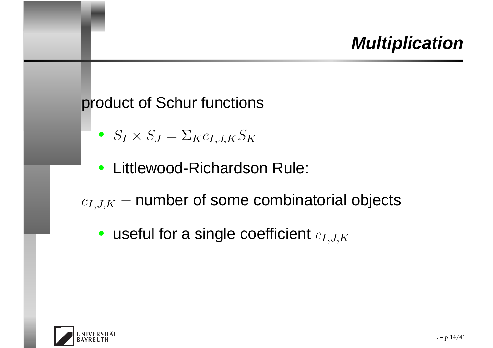#### product of Schur functions

- $\bullet \;\; S_I \times S_J$  $J=\Sigma$  $_{K}c_{I,J,K}S_{K}$
- Littlewood-Richardson Rule:
- $c_{I,J,K}=$  $=$  number of some combinatorial objects
	- useful for a single coefficient  $c_{I,J,K}$

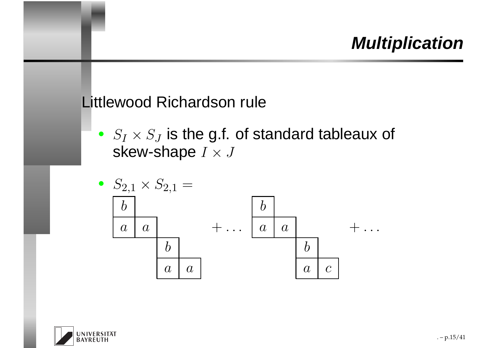#### Littlewood Richardson rule

 $\bullet \;\; S_I \times S_J$ skew-shape  $I\times J$  $\mathcal{F}_J$  is the g.f. of standard tableaux of



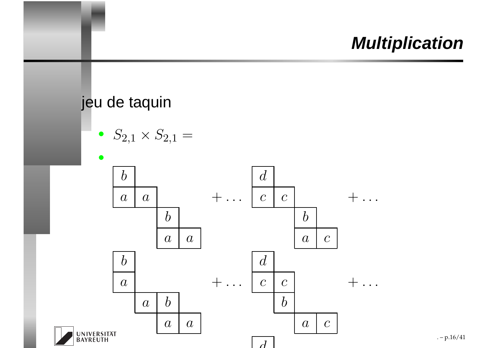#### jeu de taquin

•  $S_{2,1} \times S_{2,1} =$ 

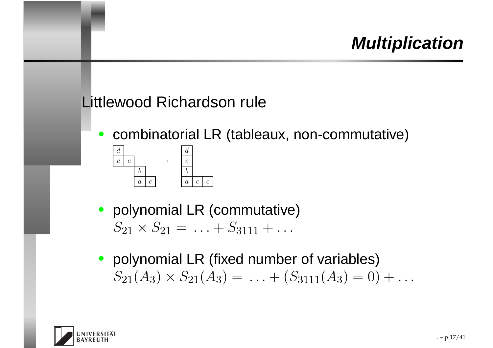#### Littlewood Richardson rule

 $\bullet$ combinatorial LR (tableaux, non-commutative)



• polynomial LR (commutative) $S_{21} \times S_{21} = \ldots$  $+\ S_{3111}+$ . . .

c

• polynomial LR (fixed number of variables) $S_{21}(A_3) \times S_{21}(A_3) = \ldots + (S_{3111}(A_3) = 0) +$ . . .

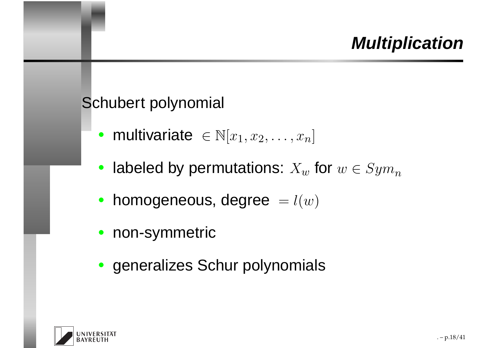#### Schubert polynomial

- multivariate  $\in \mathbb{N}[x_1, x_2, \ldots, x_n]$
- labeled by permutations:  $X_w$  for  $w \in Sym$  $\, n \,$
- homogeneous, degree $=l(w)$
- non-symmetric
- generalizes Schur polynomials

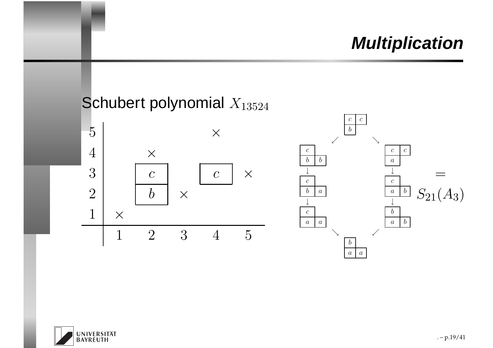



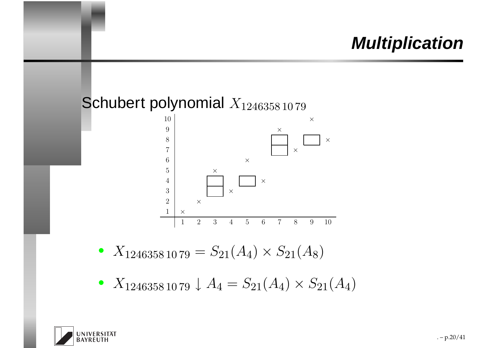#### Schubert polynomial  $X_{1246358\,10\,79}$



- $\bullet~~ X_{1246358 \, 10 \, 79} = S_{21} (A_4) \times S_{21} (A_8)$
- $\bullet~~ X_{1246358 \, 10 \, 79} \downarrow A_4 = S_{21}(A_4) \times S_{21}(A_4)$

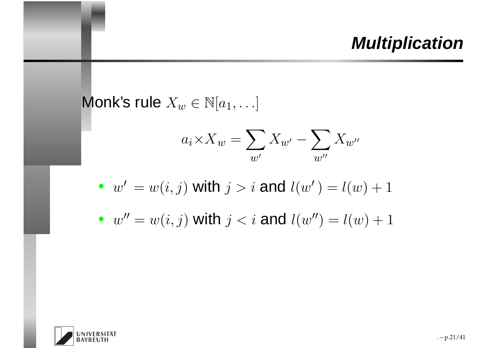Monk's rule  $X_w \in \mathbb{N}[a_1, \ldots]$ 

$$
a_i \times X_w = \sum_{w'} X_{w'} - \sum_{w''} X_{w''}
$$

• 
$$
w' = w(i, j)
$$
 with  $j > i$  and  $l(w') = l(w) + 1$ 

• 
$$
w'' = w(i, j)
$$
 with  $j < i$  and  $l(w'') = l(w) + 1$ 

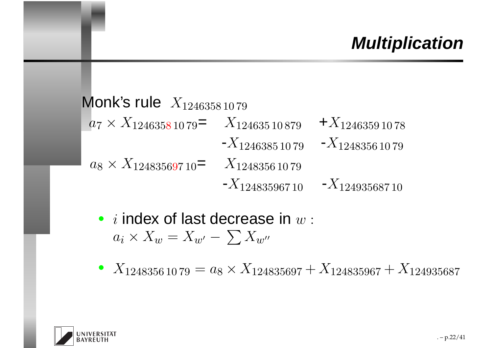Monk's rule  $\,X_{1246358\,10\,79}$  $a_7 \times X_{12463581079} = X_{12463510879} + X_{12463591078}$  $\textbf{-}X_{1246385 \,10 \,79} \quad \textbf{-}X_{1248356 \,10 \,79}$  $a_8 \times X_{124835697\,10} = \quad X_{1248356\,10\,79}$  $-X_{12483596710}$  - $X_{12493568710}$ 

- $i$  index of last decrease in  $w$  :  $a_i \times X_w = X_{w'} - \sum X_{w''}$
- $X_{12483561079} = a_8 \times X_{124835697} + X_{124835967} + X_{124935687}$

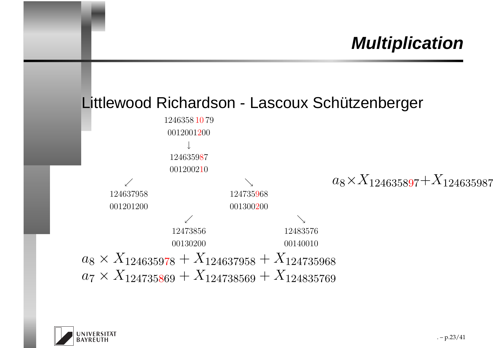#### Littlewood Richardson - Lascoux Schützenberger



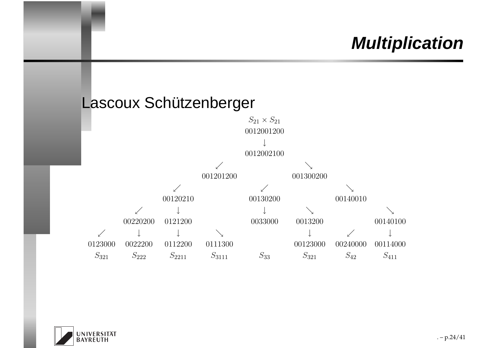



 $. - p.24/41$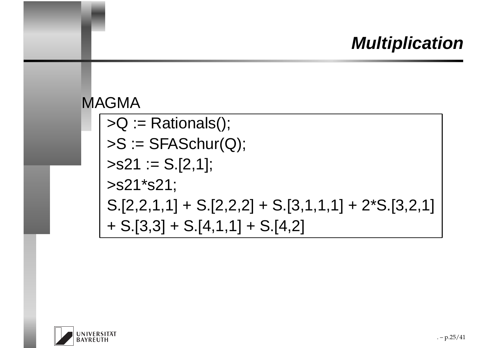#### MAGMA

 >Q := Rationals();  $\triangleright$ S := SFASchur(Q);  $>s21 := S.[2,1];$ >s21\*s21; $S.[2,2,1,1] + S.[2,2,2] + S.[3,1,1,1] + 2^{*}S.[3,2,1]$ + S.[3,3] <sup>+</sup> S.[4,1,1] <sup>+</sup> S.[4,2]

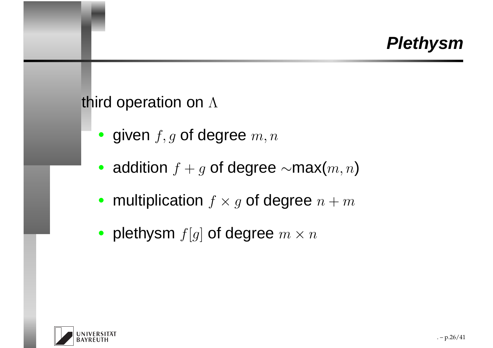# third operation on  $\Lambda$

- given  $f, g$  of degree  $m, n$
- addition  $f+g$  of degree  $\sim$ max $(m,n)$
- multiplication  $f \times g$  of degree  $n + m$
- plethysm  $f[g]$  of degree  $m \times n$

<span id="page-25-0"></span>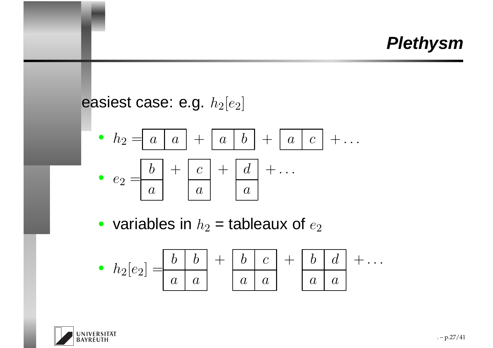easiest case: e.g.  $h_2[e_2]$ 

• 
$$
h_2 = a \mid a \mid + \mid a \mid b \mid + \mid a \mid c \mid + \dots
$$
  
\n•  $e_2 = \frac{b}{a} + \frac{c}{a} + \frac{d}{a} + \dots$ 

• variables in  $h_2$  = tableaux of  $e_2$ 

$$
\bullet \ \ h_2[e_2] = \begin{array}{|c|c|c|c|c|} \hline b & b & c \\ \hline a & a & a & a \end{array} + \begin{array}{|c|c|c|c|} \hline b & d & a & a \\ \hline a & a & a & a \end{array} + \ldots
$$

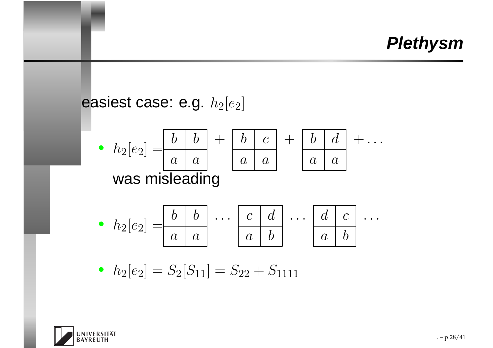easiest case: e.g. 
$$
h_2[e_2]
$$
  
\n•  $h_2[e_2] = \begin{array}{|c|c|c|c|} \hline b & b \\ a & a \\ a & a \end{array} + \begin{array}{|c|c|c|} \hline b & c \\ a & a \\ a & a \end{array} + \begin{array}{|c|c|c|} \hline b & d \\ a & a \\ a & a \end{array} + \cdots$   
\n•  $h_2[e_2] = \begin{array}{|c|c|c|} \hline b & b & c \\ a & a \\ a & b \end{array} + \begin{array}{|c|c|} \hline c & d & c \\ a & b \\ a & b \end{array} + \cdots$   
\n•  $h_2[e_2] = S_2[S_{11}] = S_{22} + S_{1111}$ 

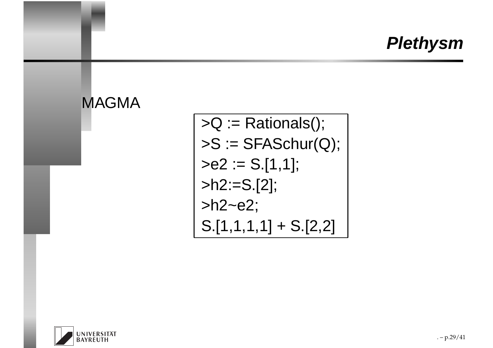

 $>Q :=$  Rationals();  $\mathsf{S} := \mathsf{SFASchur}(Q)$ ;  $>e2 := S.[1,1];$ >h2:=S.[2];>h2~e2;S.[1,1,1,1] <sup>+</sup> S.[2,2]

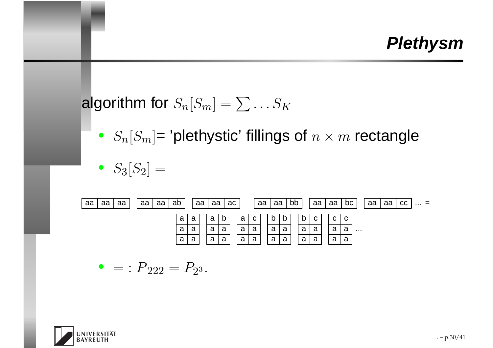# algorithm for  $S_n[S_m] = \sum \ldots S_K$

•  $S_n[S_m]$ = 'plethystic' fillings of  $n \times m$  rectangle

$$
\bullet \ \ S_3[S_2] =
$$



• 
$$
=: P_{222} = P_{23}.
$$

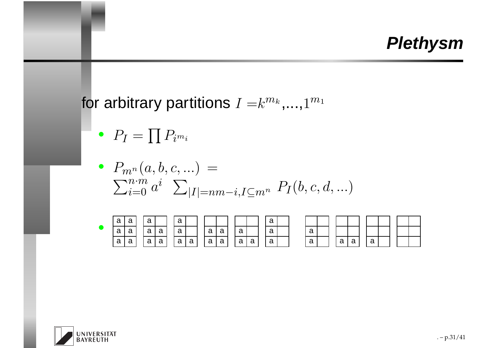for arbitrary partitions  $I=k^{m_k}$  $^k, \ldots, 1^{m_1}$ 

 $\bullet$   $\;$   $P_I =$  $\prod P_i$ m $_i$ 

 $\bullet$   $P_{m^n}$  $(a,b,c,...) \,=\,$  $\sum_{i=0}^{n\cdot m} a^i$   $\sum_{|I|=n}$  $n{\cdot}m$  $i{=}0$   $a$  $i\;\;\sum_{|I|=nm-i,I\subseteq m^n}\;P_I(b,c,d,...)$ 



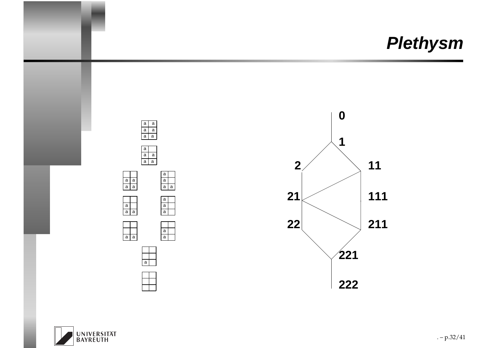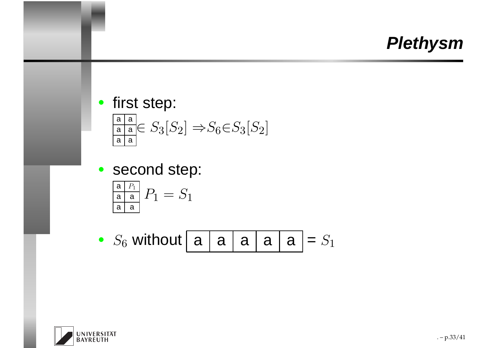- first step: a | a <u>a | a</u> <u>a | a</u>  $\in S_3[S_2] \Rightarrow S_6 \in S_3[S_2]$
- second step:

$$
\frac{\frac{a}{a} P_1}{\frac{a}{a} a} P_1 = S_1
$$

• 
$$
S_6
$$
 without  $\boxed{a | a | a | a | a} = S_1$ 

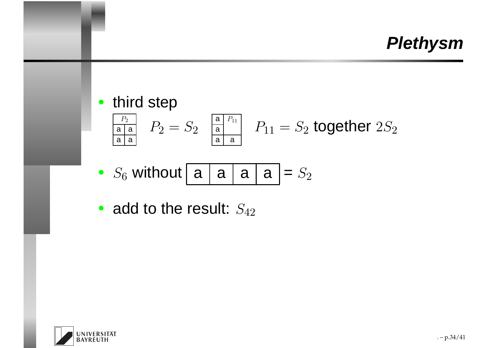\n- third step\n 
$$
\frac{P_2}{\frac{P_2}{\text{a a}}}
$$
\n  $P_2 = S_2$ \n
\n- Answer: 100
\n- Answer: 100
\n- Answer: 100
\n- 400
\n- 401
\n- 401
\n- 402
\n- 403
\n- 404
\n- 405
\n- 406
\n- 407
\n- 408
\n- 409
\n- 400
\n- 400
\n- 401
\n- 400
\n- 401
\n- 401
\n- 400
\n- 401
\n- 400
\n- 401
\n- 402
\n- 403
\n- 404
\n- 400
\n- 400
\n- 401
\n- 400
\n- 401
\n- 401
\n- 402
\n- 403
\n- 404
\n- 405
\n- 406
\n- 408
\n- 409
\n- 400
\n- 400
\n- 400
\n- 401
\n- 401
\n- 400
\n- 401
\n- 400
\n- 401
\n- 401
\n- 402
\n- 403
\n- 400
\n- 400
\n- 401
\n- 400
\n- 401
\n- 402
\n- 403
\n- 400
\n- 401
\n- 402
\n- 403
\n- 404
\n- 400
\n- 401
\n- 402
\n- 403
\n- 404
\n- 405
\n- 405
\n- 406
\n- 409
\n- 400
\n- 400
\n- 401
\n- 400
\n- 4

• 
$$
S_6
$$
 without  $\boxed{a | a | a | a} = S_2$ 

• add to the result:  $S_{42}$ 

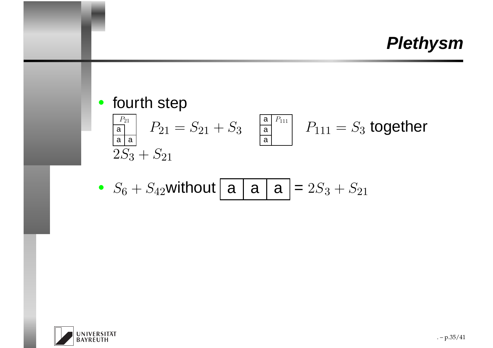• fourth step

$$
\begin{array}{c|c}\n\hline\n\frac{P_{21}}{a} & P_{21} = S_{21} + S_3 \\
\hline\n2S_3 + S_{21}\n\end{array}\n\quad\n\begin{array}{c|c}\n\hline\n\frac{a}{a} & P_{111} \\
\hline\n\frac{a}{a}\n\end{array}\n\quad\nP_{111} = S_3 \text{ together}
$$

• 
$$
S_6 + S_{42}
$$
 without **a a a b a b**  $S_3 + S_{21}$ 

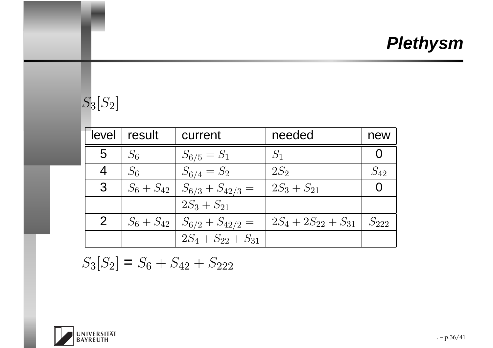#### $S_3[S_2]$

| level          | result         | current                  | needed                    | new       |
|----------------|----------------|--------------------------|---------------------------|-----------|
| 5              | $S_6$          | $S_{6/5} = S_1$          | $S_1$                     |           |
| 4              | $S_6$          | $S_{6/4} = S_2$          | $2S_2$                    | $S_{42}$  |
| 3              | $S_6 + S_{42}$ | $S_{6/3} + S_{42/3} =$   | $2S_3 + S_{21}$           |           |
|                |                | $2S_3 + S_{21}$          |                           |           |
| $\overline{2}$ | $S_6 + S_{42}$ | $S_{6/2} + S_{42/2} =$   | $2S_4 + 2S_{22} + S_{31}$ | $S_{222}$ |
|                |                | $2S_4 + S_{22} + S_{31}$ |                           |           |

$$
S_3[S_2] = S_6 + S_{42} + S_{222}
$$

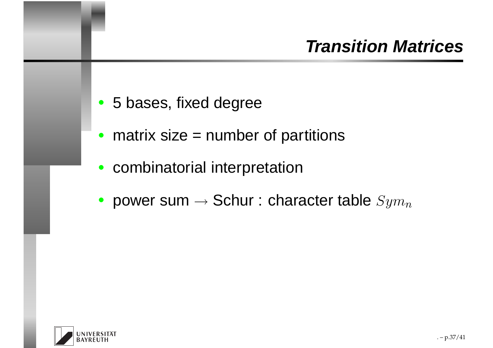- 5 bases, fixed degree
- matrix size = number of partitions
- combinatorial interpretation
- power sum  $\rightarrow$  $\rightarrow$  Schur : character table  $Sym$  $\, n \,$

<span id="page-36-0"></span>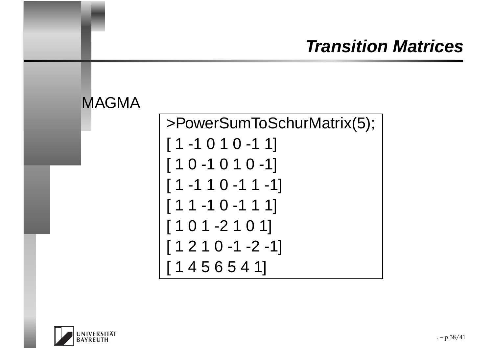### **Transition Matrices**



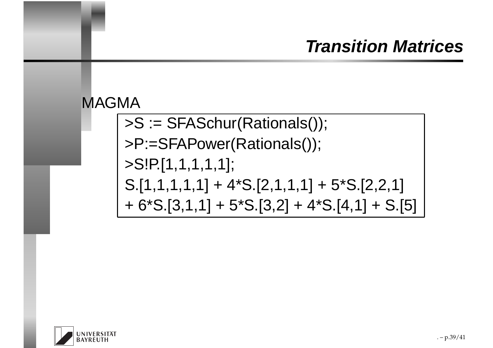### **Transition Matrices**



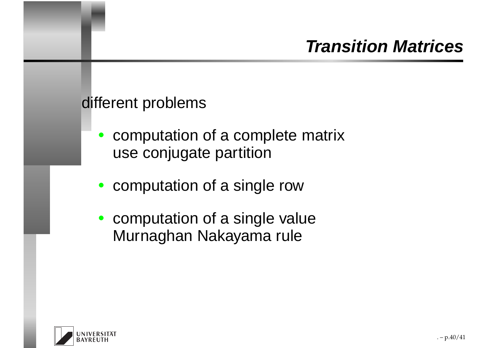### **Transition Matrices**

#### different problems

- $\bullet$  computation of <sup>a</sup> complete matrixuse conjugate partition
- computation of <sup>a</sup> single row
- $\bullet$  computation of <sup>a</sup> single valueMurnaghan Nakayama rule